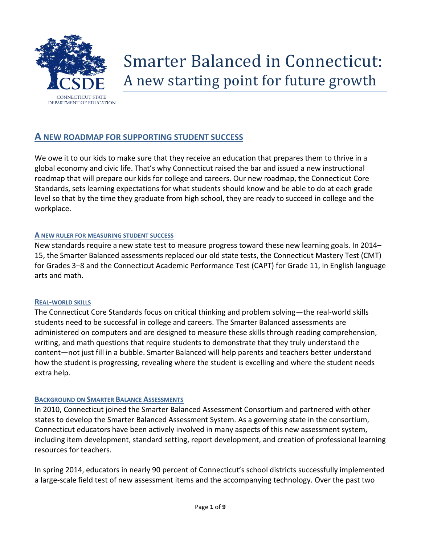

# Smarter Balanced in Connecticut: A new starting point for future growth

## **A NEW ROADMAP FOR SUPPORTING STUDENT SUCCESS**

We owe it to our kids to make sure that they receive an education that prepares them to thrive in a global economy and civic life. That's why Connecticut raised the bar and issued a new instructional roadmap that will prepare our kids for college and careers. Our new roadmap, the Connecticut Core Standards, sets learning expectations for what students should know and be able to do at each grade level so that by the time they graduate from high school, they are ready to succeed in college and the workplace.

#### **A NEW RULER FOR MEASURING STUDENT SUCCESS**

New standards require a new state test to measure progress toward these new learning goals. In 2014– 15, the Smarter Balanced assessments replaced our old state tests, the Connecticut Mastery Test (CMT) for Grades 3–8 and the Connecticut Academic Performance Test (CAPT) for Grade 11, in English language arts and math.

#### **REAL-WORLD SKILLS**

The Connecticut Core Standards focus on critical thinking and problem solving—the real-world skills students need to be successful in college and careers. The Smarter Balanced assessments are administered on computers and are designed to measure these skills through reading comprehension, writing, and math questions that require students to demonstrate that they truly understand the content—not just fill in a bubble. Smarter Balanced will help parents and teachers better understand how the student is progressing, revealing where the student is excelling and where the student needs extra help.

#### **BACKGROUND ON SMARTER BALANCE ASSESSMENTS**

In 2010, Connecticut joined the Smarter Balanced Assessment Consortium and partnered with other states to develop the Smarter Balanced Assessment System. As a governing state in the consortium, Connecticut educators have been actively involved in many aspects of this new assessment system, including item development, standard setting, report development, and creation of professional learning resources for teachers.

In spring 2014, educators in nearly 90 percent of Connecticut's school districts successfully implemented a large-scale field test of new assessment items and the accompanying technology. Over the past two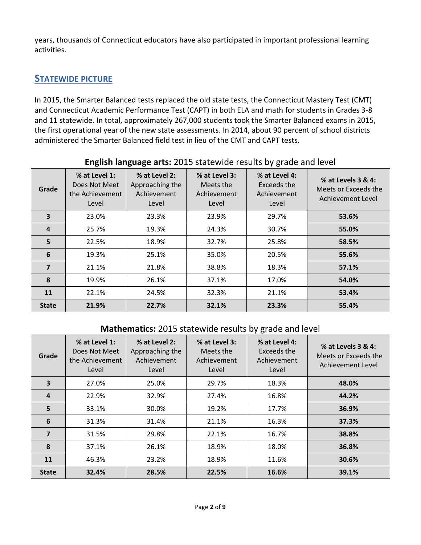years, thousands of Connecticut educators have also participated in important professional learning activities.

## **STATEWIDE PICTURE**

In 2015, the Smarter Balanced tests replaced the old state tests, the Connecticut Mastery Test (CMT) and Connecticut Academic Performance Test (CAPT) in both ELA and math for students in Grades 3-8 and 11 statewide. In total, approximately 267,000 students took the Smarter Balanced exams in 2015, the first operational year of the new state assessments. In 2014, about 90 percent of school districts administered the Smarter Balanced field test in lieu of the CMT and CAPT tests.

| Grade          | % at Level 1:<br>Does Not Meet<br>the Achievement<br>Level | % at Level 2:<br>Approaching the<br>Achievement<br>Level | % at Level 3:<br>Meets the<br>Achievement<br>Level | % at Level 4:<br>Exceeds the<br>Achievement<br>Level | % at Levels 3 & 4:<br>Meets or Exceeds the<br>Achievement Level |
|----------------|------------------------------------------------------------|----------------------------------------------------------|----------------------------------------------------|------------------------------------------------------|-----------------------------------------------------------------|
| 3              | 23.0%                                                      | 23.3%                                                    | 23.9%                                              | 29.7%                                                | 53.6%                                                           |
| 4              | 25.7%                                                      | 19.3%                                                    | 24.3%                                              | 30.7%                                                | 55.0%                                                           |
| 5              | 22.5%                                                      | 18.9%                                                    | 32.7%                                              | 25.8%                                                | 58.5%                                                           |
| 6              | 19.3%                                                      | 25.1%                                                    | 35.0%                                              | 20.5%                                                | 55.6%                                                           |
| $\overline{7}$ | 21.1%                                                      | 21.8%                                                    | 38.8%                                              | 18.3%                                                | 57.1%                                                           |
| 8              | 19.9%                                                      | 26.1%                                                    | 37.1%                                              | 17.0%                                                | 54.0%                                                           |
| 11             | 22.1%                                                      | 24.5%                                                    | 32.3%                                              | 21.1%                                                | 53.4%                                                           |
| <b>State</b>   | 21.9%                                                      | 22.7%                                                    | 32.1%                                              | 23.3%                                                | 55.4%                                                           |

#### **English language arts:** 2015 statewide results by grade and level

## **Mathematics:** 2015 statewide results by grade and level

| Grade        | % at Level 1:<br>Does Not Meet<br>the Achievement<br>Level | % at Level 2:<br>Approaching the<br>Achievement<br>Level | % at Level 3:<br>Meets the<br>Achievement<br>Level | % at Level 4:<br>Exceeds the<br>Achievement<br>Level | % at Levels 3 & 4:<br>Meets or Exceeds the<br>Achievement Level |
|--------------|------------------------------------------------------------|----------------------------------------------------------|----------------------------------------------------|------------------------------------------------------|-----------------------------------------------------------------|
| 3            | 27.0%                                                      | 25.0%                                                    | 29.7%                                              | 18.3%                                                | 48.0%                                                           |
| 4            | 22.9%                                                      | 32.9%                                                    | 27.4%                                              | 16.8%                                                | 44.2%                                                           |
| 5            | 33.1%                                                      | 30.0%                                                    | 19.2%                                              | 17.7%                                                | 36.9%                                                           |
| 6            | 31.3%                                                      | 31.4%                                                    | 21.1%                                              | 16.3%                                                | 37.3%                                                           |
| 7            | 31.5%                                                      | 29.8%                                                    | 22.1%                                              | 16.7%                                                | 38.8%                                                           |
| 8            | 37.1%                                                      | 26.1%                                                    | 18.9%                                              | 18.0%                                                | 36.8%                                                           |
| 11           | 46.3%                                                      | 23.2%                                                    | 18.9%                                              | 11.6%                                                | 30.6%                                                           |
| <b>State</b> | 32.4%                                                      | 28.5%                                                    | 22.5%                                              | 16.6%                                                | 39.1%                                                           |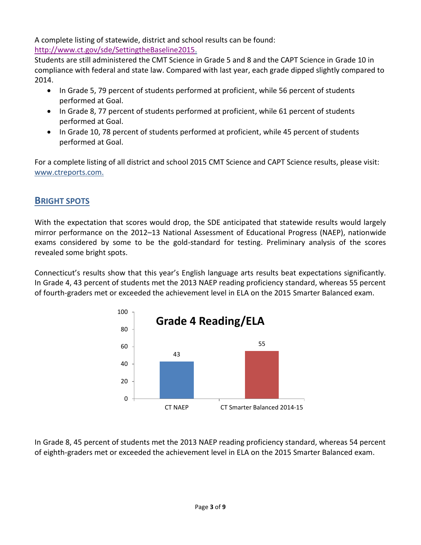A complete listing of statewide, district and school results can be found: [http://www.ct.gov/sde/SettingtheBaseline2015.](http://www.ct.gov/sde/SettingtheBaseline2015)

Students are still administered the CMT Science in Grade 5 and 8 and the CAPT Science in Grade 10 in compliance with federal and state law. Compared with last year, each grade dipped slightly compared to 2014.

- In Grade 5, 79 percent of students performed at proficient, while 56 percent of students performed at Goal.
- In Grade 8, 77 percent of students performed at proficient, while 61 percent of students performed at Goal.
- In Grade 10, 78 percent of students performed at proficient, while 45 percent of students performed at Goal.

For a complete listing of all district and school 2015 CMT Science and CAPT Science results, please visit: [www.ctreports.com.](file:///E:/www.ctreports.com)

# **BRIGHT SPOTS**

With the expectation that scores would drop, the SDE anticipated that statewide results would largely mirror performance on the 2012–13 National Assessment of Educational Progress (NAEP), nationwide exams considered by some to be the gold-standard for testing. Preliminary analysis of the scores revealed some bright spots.

Connecticut's results show that this year's English language arts results beat expectations significantly. In Grade 4, 43 percent of students met the 2013 NAEP reading proficiency standard, whereas 55 percent of fourth-graders met or exceeded the achievement level in ELA on the 2015 Smarter Balanced exam.



In Grade 8, 45 percent of students met the 2013 NAEP reading proficiency standard, whereas 54 percent of eighth-graders met or exceeded the achievement level in ELA on the 2015 Smarter Balanced exam.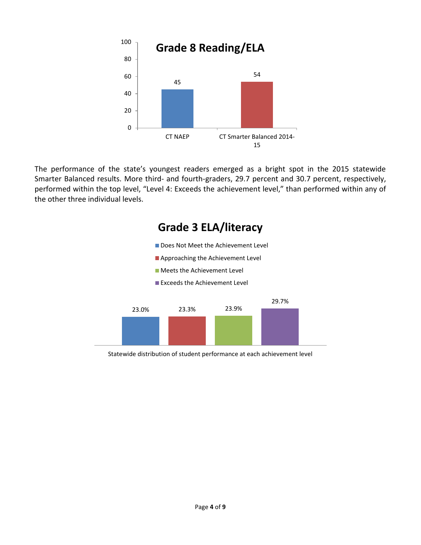

The performance of the state's youngest readers emerged as a bright spot in the 2015 statewide Smarter Balanced results. More third- and fourth-graders, 29.7 percent and 30.7 percent, respectively, performed within the top level, "Level 4: Exceeds the achievement level," than performed within any of the other three individual levels.



Statewide distribution of student performance at each achievement level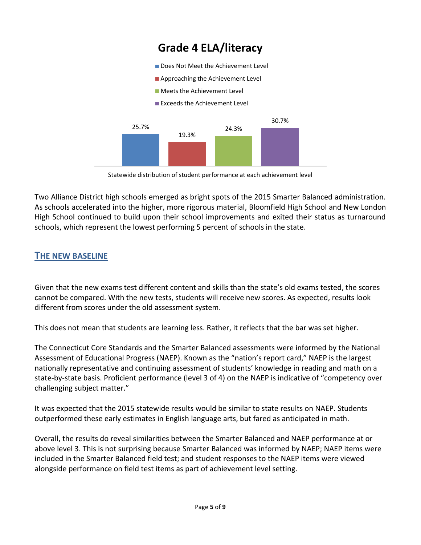

Statewide distribution of student performance at each achievement level

Two Alliance District high schools emerged as bright spots of the 2015 Smarter Balanced administration. As schools accelerated into the higher, more rigorous material, Bloomfield High School and New London High School continued to build upon their school improvements and exited their status as turnaround schools, which represent the lowest performing 5 percent of schools in the state.

# **THE NEW BASELINE**

Given that the new exams test different content and skills than the state's old exams tested, the scores cannot be compared. With the new tests, students will receive new scores. As expected, results look different from scores under the old assessment system.

This does not mean that students are learning less. Rather, it reflects that the bar was set higher.

The Connecticut Core Standards and the Smarter Balanced assessments were informed by the National Assessment of Educational Progress (NAEP). Known as the "nation's report card," NAEP is the largest nationally representative and continuing assessment of students' knowledge in reading and math on a state-by-state basis. Proficient performance (level 3 of 4) on the NAEP is indicative of "competency over challenging subject matter."

It was expected that the 2015 statewide results would be similar to state results on NAEP. Students outperformed these early estimates in English language arts, but fared as anticipated in math.

Overall, the results do reveal similarities between the Smarter Balanced and NAEP performance at or above level 3. This is not surprising because Smarter Balanced was informed by NAEP; NAEP items were included in the Smarter Balanced field test; and student responses to the NAEP items were viewed alongside performance on field test items as part of achievement level setting.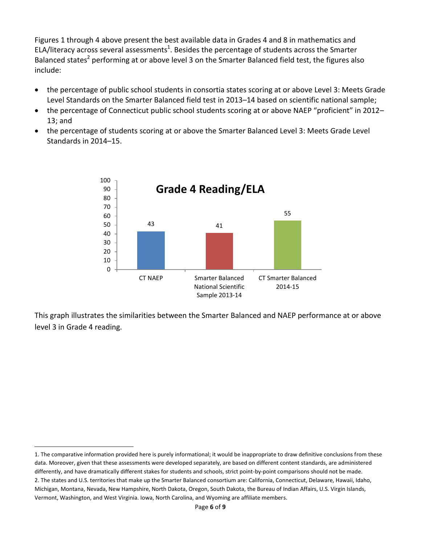Figures 1 through 4 above present the best available data in Grades 4 and 8 in mathematics and ELA/literacy across several assessments<sup>1</sup>. Besides the percentage of students across the Smarter Balanced states<sup>2</sup> performing at or above level 3 on the Smarter Balanced field test, the figures also include:

- the percentage of public school students in consortia states scoring at or above Level 3: Meets Grade Level Standards on the Smarter Balanced field test in 2013–14 based on scientific national sample;
- the percentage of Connecticut public school students scoring at or above NAEP "proficient" in 2012– 13; and
- the percentage of students scoring at or above the Smarter Balanced Level 3: Meets Grade Level Standards in 2014–15.



This graph illustrates the similarities between the Smarter Balanced and NAEP performance at or above level 3 in Grade 4 reading.

 $\overline{a}$ 

<sup>1.</sup> The comparative information provided here is purely informational; it would be inappropriate to draw definitive conclusions from these data. Moreover, given that these assessments were developed separately, are based on different content standards, are administered differently, and have dramatically different stakes for students and schools, strict point-by-point comparisons should not be made. 2. The states and U.S. territories that make up the Smarter Balanced consortium are: California, Connecticut, Delaware, Hawaii, Idaho, Michigan, Montana, Nevada, New Hampshire, North Dakota, Oregon, South Dakota, the Bureau of Indian Affairs, U.S. Virgin Islands, Vermont, Washington, and West Virginia. Iowa, North Carolina, and Wyoming are affiliate members.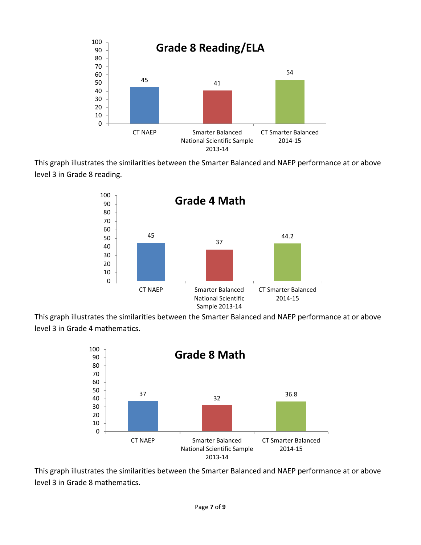

This graph illustrates the similarities between the Smarter Balanced and NAEP performance at or above level 3 in Grade 8 reading.



This graph illustrates the similarities between the Smarter Balanced and NAEP performance at or above level 3 in Grade 4 mathematics.



This graph illustrates the similarities between the Smarter Balanced and NAEP performance at or above level 3 in Grade 8 mathematics.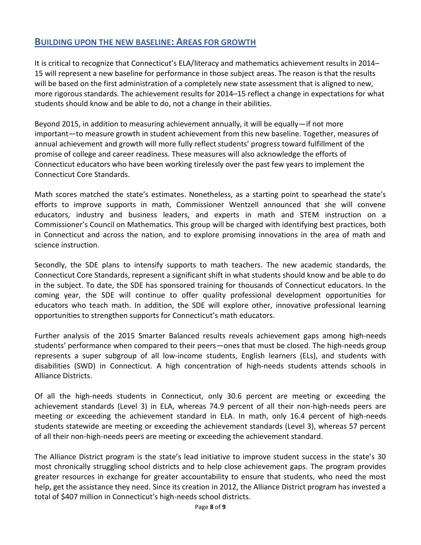## **BUILDING UPON THE NEW BASELINE: AREAS FOR GROWTH**

It is critical to recognize that Connecticut's ELA/literacy and mathematics achievement results in 2014– 15 will represent a new baseline for performance in those subject areas. The reason is that the results will be based on the first administration of a completely new state assessment that is aligned to new, more rigorous standards. The achievement results for 2014–15 reflect a change in expectations for what students should know and be able to do, not a change in their abilities.

Beyond 2015, in addition to measuring achievement annually, it will be equally—if not more important—to measure growth in student achievement from this new baseline. Together, measures of annual achievement and growth will more fully reflect students' progress toward fulfillment of the promise of college and career readiness. These measures will also acknowledge the efforts of Connecticut educators who have been working tirelessly over the past few years to implement the Connecticut Core Standards.

Math scores matched the state's estimates. Nonetheless, as a starting point to spearhead the state's efforts to improve supports in math, Commissioner Wentzell announced that she will convene educators, industry and business leaders, and experts in math and STEM instruction on a Commissioner's Council on Mathematics. This group will be charged with identifying best practices, both in Connecticut and across the nation, and to explore promising innovations in the area of math and science instruction.

Secondly, the SDE plans to intensify supports to math teachers. The new academic standards, the Connecticut Core Standards, represent a significant shift in what students should know and be able to do in the subject. To date, the SDE has sponsored training for thousands of Connecticut educators. In the coming year, the SDE will continue to offer quality professional development opportunities for educators who teach math. In addition, the SDE will explore other, innovative professional learning opportunities to strengthen supports for Connecticut's math educators.

Further analysis of the 2015 Smarter Balanced results reveals achievement gaps among high-needs students' performance when compared to their peers—ones that must be closed. The high-needs group represents a super subgroup of all low-income students, English learners (ELs), and students with disabilities (SWD) in Connecticut. A high concentration of high-needs students attends schools in Alliance Districts.

Of all the high-needs students in Connecticut, only 30.6 percent are meeting or exceeding the achievement standards (Level 3) in ELA, whereas 74.9 percent of all their non-high-needs peers are meeting or exceeding the achievement standard in ELA. In math, only 16.4 percent of high-needs students statewide are meeting or exceeding the achievement standards (Level 3), whereas 57 percent of all their non-high-needs peers are meeting or exceeding the achievement standard.

The Alliance District program is the state's lead initiative to improve student success in the state's 30 most chronically struggling school districts and to help close achievement gaps. The program provides greater resources in exchange for greater accountability to ensure that students, who need the most help, get the assistance they need. Since its creation in 2012, the Alliance District program has invested a total of \$407 million in Connecticut's high-needs school districts.